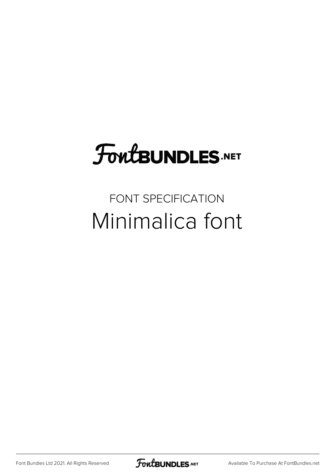## FoutBUNDLES.NET

### FONT SPECIFICATION Minimalica font

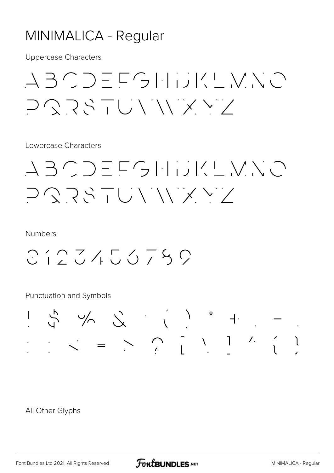#### MINIMALICA - Regular

**Uppercase Characters** 

 $\begin{array}{c} \bot \exists \subset \supset \equiv \sqsubset \subset \Box \sqcup \sqcup \lor \sqsubset \bigvee \land \subset \Box \end{array}$ コヘマメーじヽ´ヽ´ ヾ ヾ`/

Lowercase Characters

 $\begin{array}{c} \bot \exists \subset \supset \equiv \Box \subset \neg \bot \bot \cup \bot \subset \bot \setminus \bot \cap \bot \end{array}$ コヘフドーじいハンメン

**Numbers** 

 $C12Z455759$ 

**Punctuation and Symbols** 



All Other Glyphs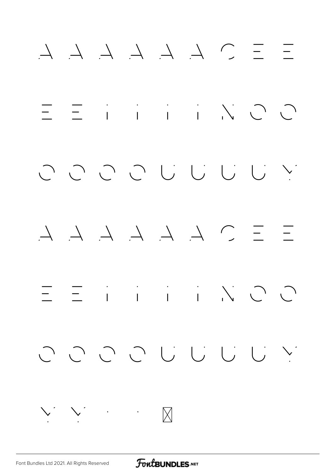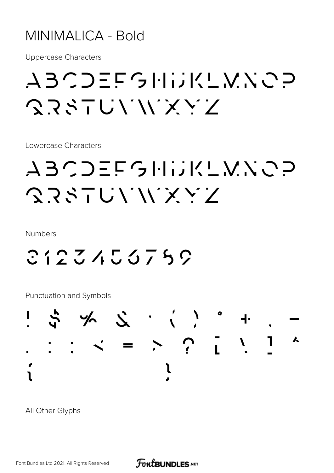#### MINIMALICA - Bold

**Uppercase Characters** 

## ABCDEFGHIJKLVNOP 23STUVWXYZ

Lowercase Characters

## ABCDEFGHIJKLVNCP SRSTUVWXYZ

**Numbers** 

2123453759

**Punctuation and Symbols** 



All Other Glyphs